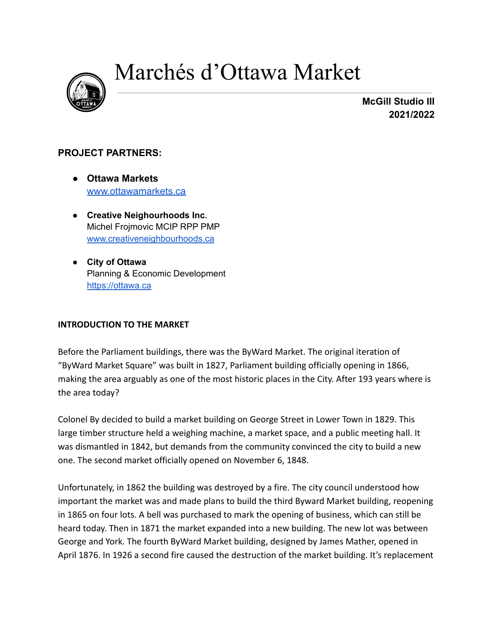# Marchés d'Ottawa Market



**McGill Studio III 2021/2022**

# **PROJECT PARTNERS:**

- **● Ottawa Markets** [www.ottawamarkets.ca](http://www.ottawamarkets.ca)
- **● Creative Neighourhoods Inc.** Michel Frojmovic MCIP RPP PMP [www.creativeneighbourhoods.ca](http://www.creativeneighbourhoods.ca/)
- **City of Ottawa** Planning & Economic Development <https://ottawa.ca>

#### **INTRODUCTION TO THE MARKET**

Before the Parliament buildings, there was the ByWard Market. The original iteration of "ByWard Market Square" was built in 1827, Parliament building officially opening in 1866, making the area arguably as one of the most historic places in the City. After 193 years where is the area today?

Colonel By decided to build a market building on George Street in Lower Town in 1829. This large timber structure held a weighing machine, a market space, and a public meeting hall. It was dismantled in 1842, but demands from the community convinced the city to build a new one. The second market officially opened on November 6, 1848.

Unfortunately, in 1862 the building was destroyed by a fire. The city council understood how important the market was and made plans to build the third Byward Market building, reopening in 1865 on four lots. A bell was purchased to mark the opening of business, which can still be heard today. Then in 1871 the market expanded into a new building. The new lot was between George and York. The fourth ByWard Market building, designed by James Mather, opened in April 1876. In 1926 a second fire caused the destruction of the market building. It's replacement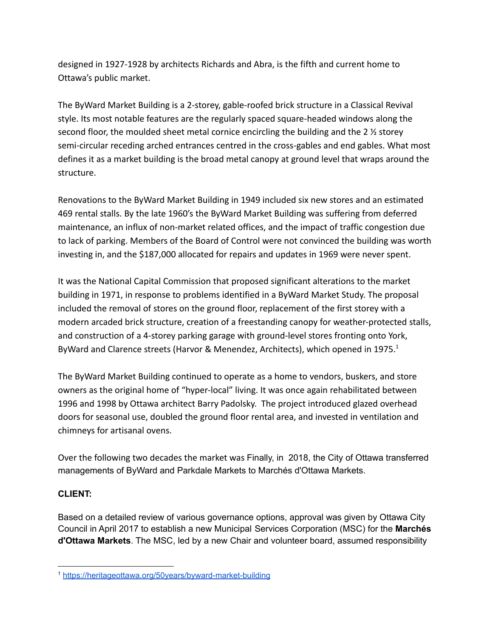designed in 1927-1928 by architects Richards and Abra, is the fifth and current home to Ottawa's public market.

The ByWard Market Building is a 2-storey, gable-roofed brick structure in a Classical Revival style. Its most notable features are the regularly spaced square-headed windows along the second floor, the moulded sheet metal cornice encircling the building and the 2 ½ storey semi-circular receding arched entrances centred in the cross-gables and end gables. What most defines it as a market building is the broad metal canopy at ground level that wraps around the structure.

Renovations to the ByWard Market Building in 1949 included six new stores and an estimated 469 rental stalls. By the late 1960's the ByWard Market Building was suffering from deferred maintenance, an influx of non-market related offices, and the impact of traffic congestion due to lack of parking. Members of the Board of Control were not convinced the building was worth investing in, and the \$187,000 allocated for repairs and updates in 1969 were never spent.

It was the National Capital Commission that proposed significant alterations to the market building in 1971, in response to problems identified in a ByWard Market Study. The proposal included the removal of stores on the ground floor, replacement of the first storey with a modern arcaded brick structure, creation of a freestanding canopy for weather-protected stalls, and construction of a 4-storey parking garage with ground-level stores fronting onto York, ByWard and Clarence streets (Harvor & Menendez, Architects), which opened in 1975.<sup>1</sup>

The ByWard Market Building continued to operate as a home to vendors, buskers, and store owners as the original home of "hyper-local" living. It was once again rehabilitated between 1996 and 1998 by Ottawa architect Barry Padolsky. The project introduced glazed overhead doors for seasonal use, doubled the ground floor rental area, and invested in ventilation and chimneys for artisanal ovens.

Over the following two decades the market was Finally, in 2018, the City of Ottawa transferred managements of ByWard and Parkdale Markets to Marchés d'Ottawa Markets.

## **CLIENT:**

Based on a detailed review of various governance options, approval was given by Ottawa City Council in April 2017 to establish a new Municipal Services Corporation (MSC) for the **Marchés d'Ottawa Markets**. The MSC, led by a new Chair and volunteer board, assumed responsibility

<sup>1</sup> <https://heritageottawa.org/50years/byward-market-building>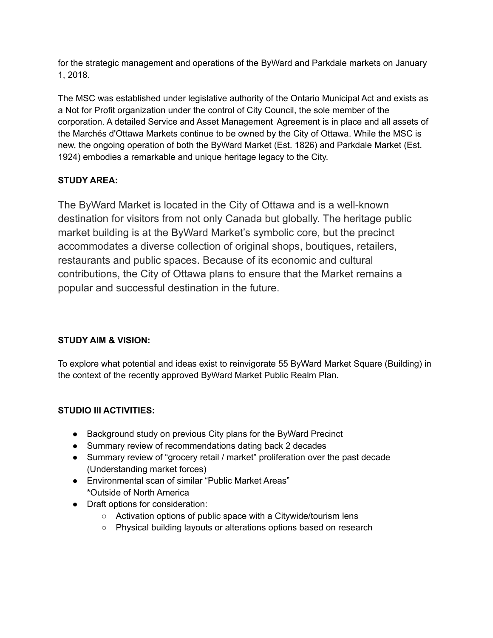for the strategic management and operations of the ByWard and Parkdale markets on January 1, 2018.

The MSC was established under legislative authority of the Ontario Municipal Act and exists as a Not for Profit organization under the control of City Council, the sole member of the corporation. A detailed Service and Asset Management Agreement is in place and all assets of the Marchés d'Ottawa Markets continue to be owned by the City of Ottawa. While the MSC is new, the ongoing operation of both the ByWard Market (Est. 1826) and Parkdale Market (Est. 1924) embodies a remarkable and unique heritage legacy to the City.

# **STUDY AREA:**

The ByWard Market is located in the City of Ottawa and is a well-known destination for visitors from not only Canada but globally. The heritage public market building is at the ByWard Market's symbolic core, but the precinct accommodates a diverse collection of original shops, boutiques, retailers, restaurants and public spaces. Because of its economic and cultural contributions, the City of Ottawa plans to ensure that the Market remains a popular and successful destination in the future.

## **STUDY AIM & VISION:**

To explore what potential and ideas exist to reinvigorate 55 ByWard Market Square (Building) in the context of the recently approved ByWard Market Public Realm Plan.

## **STUDIO III ACTIVITIES:**

- Background study on previous City plans for the ByWard Precinct
- Summary review of recommendations dating back 2 decades
- Summary review of "grocery retail / market" proliferation over the past decade (Understanding market forces)
- Environmental scan of similar "Public Market Areas" \*Outside of North America
- Draft options for consideration:
	- Activation options of public space with a Citywide/tourism lens
	- Physical building layouts or alterations options based on research